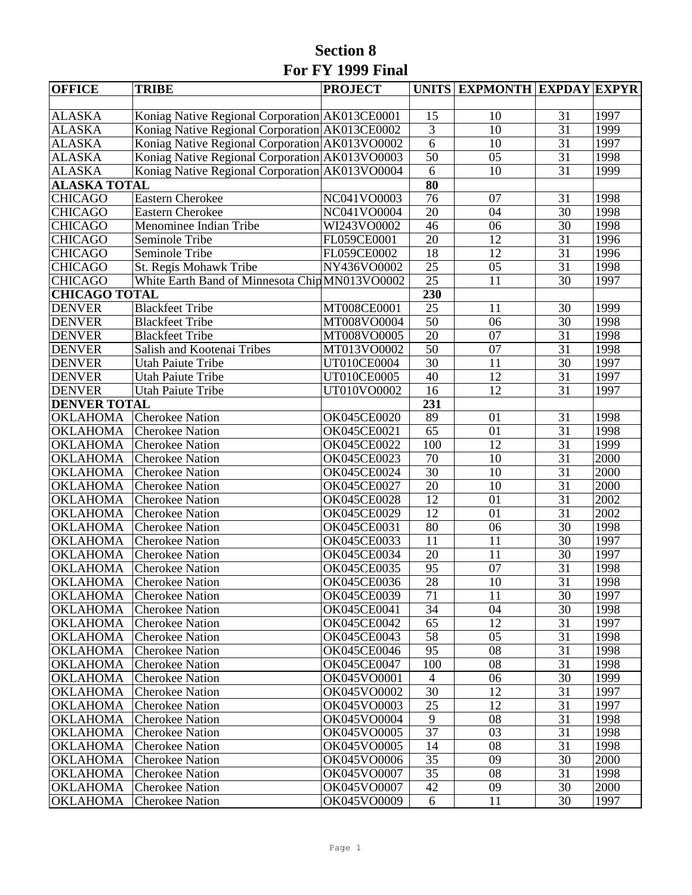## **Section 8 For FY 1999 Final**

| <b>OFFICE</b>        | <b>TRIBE</b>                                   | <b>PROJECT</b>     |                     | UNITS EXPMONTH EXPDAY EXPYR |                 |      |
|----------------------|------------------------------------------------|--------------------|---------------------|-----------------------------|-----------------|------|
|                      |                                                |                    |                     |                             |                 |      |
| <b>ALASKA</b>        | Koniag Native Regional Corporation AK013CE0001 |                    | 15                  | 10                          | 31              | 1997 |
| <b>ALASKA</b>        | Koniag Native Regional Corporation AK013CE0002 |                    | $\overline{3}$      | 10                          | $\overline{31}$ | 1999 |
| <b>ALASKA</b>        | Koniag Native Regional Corporation AK013VO0002 |                    | $\overline{6}$      | 10                          | 31              | 1997 |
| <b>ALASKA</b>        | Koniag Native Regional Corporation AK013VO0003 |                    | $\overline{50}$     | 05                          | $\overline{31}$ | 1998 |
| <b>ALASKA</b>        | Koniag Native Regional Corporation AK013VO0004 |                    | 6                   | 10                          | 31              | 1999 |
| <b>ALASKA TOTAL</b>  |                                                |                    | $\overline{\bf 80}$ |                             |                 |      |
| <b>CHICAGO</b>       | <b>Eastern Cherokee</b>                        | NC041VO0003        | $\overline{76}$     | 07                          | 31              | 1998 |
| <b>CHICAGO</b>       | <b>Eastern Cherokee</b>                        | NC041VO0004        | 20                  | 04                          | $\overline{30}$ | 1998 |
| <b>CHICAGO</b>       | Menominee Indian Tribe                         | WI243VO0002        | 46                  | 06                          | 30              | 1998 |
| <b>CHICAGO</b>       | Seminole Tribe                                 | FL059CE0001        | 20                  | $\overline{12}$             | $\overline{31}$ | 1996 |
| <b>CHICAGO</b>       | Seminole Tribe                                 | FL059CE0002        | $\overline{18}$     | $\overline{12}$             | 31              | 1996 |
| <b>CHICAGO</b>       | St. Regis Mohawk Tribe                         | NY436VO0002        | 25                  | 05                          | 31              | 1998 |
| <b>CHICAGO</b>       | White Earth Band of Minnesota Chip MN013VO0002 |                    | $\overline{25}$     | 11                          | 30              | 1997 |
| <b>CHICAGO TOTAL</b> |                                                |                    | 230                 |                             |                 |      |
| <b>DENVER</b>        | <b>Blackfeet Tribe</b>                         | MT008CE0001        | 25                  | 11                          | 30              | 1999 |
| <b>DENVER</b>        | <b>Blackfeet Tribe</b>                         | MT008VO0004        | $\overline{50}$     | $\overline{06}$             | $\overline{30}$ | 1998 |
| <b>DENVER</b>        | <b>Blackfeet Tribe</b>                         | MT008VO0005        | $\overline{20}$     | $\overline{07}$             | $\overline{31}$ | 1998 |
| <b>DENVER</b>        | Salish and Kootenai Tribes                     | MT013VO0002        | 50                  | 07                          | 31              | 1998 |
| <b>DENVER</b>        | <b>Utah Paiute Tribe</b>                       | UT010CE0004        | $\overline{30}$     | $\overline{11}$             | $\overline{30}$ | 1997 |
| <b>DENVER</b>        | <b>Utah Paiute Tribe</b>                       | UT010CE0005        | $\overline{40}$     | $\overline{12}$             | $\overline{31}$ | 1997 |
| <b>DENVER</b>        | <b>Utah Paiute Tribe</b>                       | UT010VO0002        | 16                  | 12                          | 31              | 1997 |
| <b>DENVER TOTAL</b>  |                                                |                    | 231                 |                             |                 |      |
| <b>OKLAHOMA</b>      | <b>Cherokee Nation</b>                         | OK045CE0020        | 89                  | 01                          | 31              | 1998 |
| <b>OKLAHOMA</b>      | <b>Cherokee Nation</b>                         | OK045CE0021        | 65                  | 01                          | 31              | 1998 |
| <b>OKLAHOMA</b>      | <b>Cherokee Nation</b>                         | OK045CE0022        | 100                 | $\overline{12}$             | $\overline{31}$ | 1999 |
| <b>OKLAHOMA</b>      | <b>Cherokee Nation</b>                         | OK045CE0023        | 70                  | 10                          | $\overline{31}$ | 2000 |
| <b>OKLAHOMA</b>      | <b>Cherokee Nation</b>                         | <b>OK045CE0024</b> | 30                  | 10                          | 31              | 2000 |
| <b>OKLAHOMA</b>      | <b>Cherokee Nation</b>                         | OK045CE0027        | 20                  | 10                          | $\overline{31}$ | 2000 |
| <b>OKLAHOMA</b>      | <b>Cherokee Nation</b>                         | <b>OK045CE0028</b> | $\overline{12}$     | $\overline{01}$             | $\overline{31}$ | 2002 |
| <b>OKLAHOMA</b>      | <b>Cherokee Nation</b>                         | OK045CE0029        | 12                  | 01                          | $\overline{31}$ | 2002 |
| <b>OKLAHOMA</b>      | <b>Cherokee Nation</b>                         | OK045CE0031        | 80                  | 06                          | 30              | 1998 |
| <b>OKLAHOMA</b>      | <b>Cherokee Nation</b>                         | <b>OK045CE0033</b> | 11                  | 11                          | 30              | 1997 |
| <b>OKLAHOMA</b>      | <b>Cherokee Nation</b>                         | <b>OK045CE0034</b> | 20                  | 11                          | 30              | 1997 |
| <b>OKLAHOMA</b>      | <b>Cherokee Nation</b>                         | OK045CE0035        | 95                  | 07                          | $\overline{31}$ | 1998 |
| <b>OKLAHOMA</b>      | <b>Cherokee Nation</b>                         | <b>OK045CE0036</b> | $\overline{28}$     | 10                          | $\overline{31}$ | 1998 |
| OKLAHOMA             | <b>Cherokee Nation</b>                         | <b>OK045CE0039</b> | 71                  | 11                          | 30              | 1997 |
| <b>OKLAHOMA</b>      | <b>Cherokee Nation</b>                         | OK045CE0041        | 34                  | 04                          | 30              | 1998 |
| <b>OKLAHOMA</b>      | <b>Cherokee Nation</b>                         | <b>OK045CE0042</b> | 65                  | 12                          | 31              | 1997 |
| <b>OKLAHOMA</b>      | <b>Cherokee Nation</b>                         | <b>OK045CE0043</b> | 58                  | 05                          | 31              | 1998 |
| <b>OKLAHOMA</b>      | <b>Cherokee Nation</b>                         | <b>OK045CE0046</b> | 95                  | 08                          | 31              | 1998 |
| <b>OKLAHOMA</b>      | <b>Cherokee Nation</b>                         | <b>OK045CE0047</b> | 100                 | 08                          | 31              | 1998 |
| <b>OKLAHOMA</b>      | <b>Cherokee Nation</b>                         | OK045VO0001        | $\overline{4}$      | 06                          | 30              | 1999 |
| <b>OKLAHOMA</b>      | <b>Cherokee Nation</b>                         | OK045VO0002        | 30                  | 12                          | 31              | 1997 |
| <b>OKLAHOMA</b>      | <b>Cherokee Nation</b>                         | OK045VO0003        | 25                  | 12                          | 31              | 1997 |
| <b>OKLAHOMA</b>      | <b>Cherokee Nation</b>                         | OK045VO0004        | 9                   | 08                          | 31              | 1998 |
| <b>OKLAHOMA</b>      | <b>Cherokee Nation</b>                         | OK045VO0005        | 37                  | 03                          | 31              | 1998 |
| <b>OKLAHOMA</b>      | <b>Cherokee Nation</b>                         | OK045VO0005        | 14                  | 08                          | 31              | 1998 |
| <b>OKLAHOMA</b>      | <b>Cherokee Nation</b>                         | OK045VO0006        | 35                  | 09                          | 30              | 2000 |
| <b>OKLAHOMA</b>      | <b>Cherokee Nation</b>                         | OK045VO0007        | 35                  | 08                          | 31              | 1998 |
| <b>OKLAHOMA</b>      | <b>Cherokee Nation</b>                         | OK045VO0007        | 42                  | 09                          | 30              | 2000 |
| <b>OKLAHOMA</b>      | <b>Cherokee Nation</b>                         | OK045VO0009        | 6                   | 11                          | 30              | 1997 |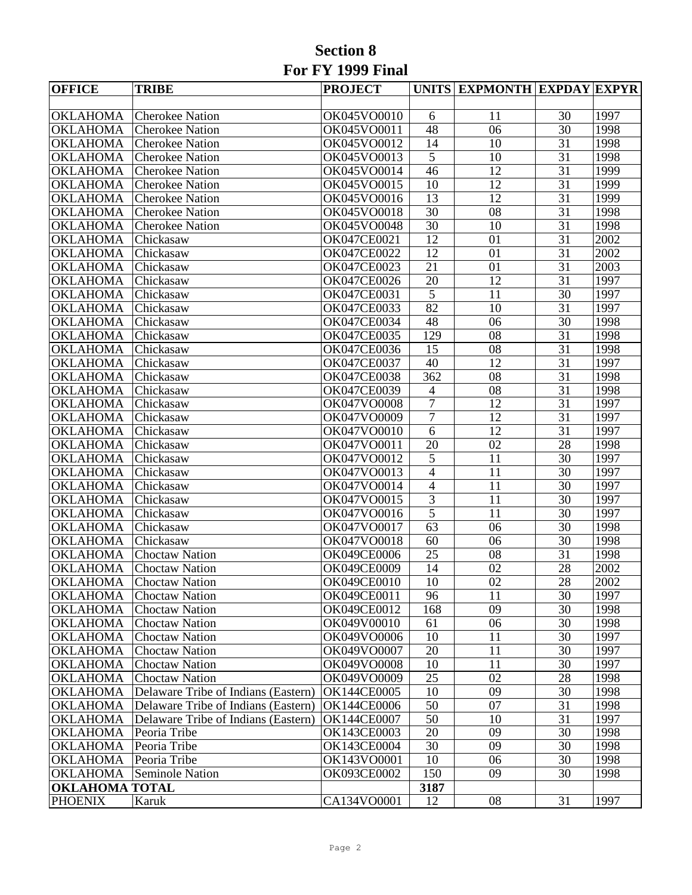## **Section 8 For FY 1999 Final**

| <b>OFFICE</b>         | <b>TRIBE</b>                        | <b>PROJECT</b>     |                          | UNITS EXPMONTH EXPDAY EXPYR |                 |      |
|-----------------------|-------------------------------------|--------------------|--------------------------|-----------------------------|-----------------|------|
|                       |                                     |                    |                          |                             |                 |      |
| <b>OKLAHOMA</b>       | <b>Cherokee Nation</b>              | OK045VO0010        | 6                        | 11                          | 30              | 1997 |
| <b>OKLAHOMA</b>       | <b>Cherokee Nation</b>              | OK045VO0011        | 48                       | 06                          | 30              | 1998 |
| <b>OKLAHOMA</b>       | <b>Cherokee Nation</b>              | OK045VO0012        | 14                       | 10                          | 31              | 1998 |
| <b>OKLAHOMA</b>       | <b>Cherokee Nation</b>              | OK045VO0013        | $\overline{5}$           | 10                          | 31              | 1998 |
| <b>OKLAHOMA</b>       | <b>Cherokee Nation</b>              | OK045VO0014        | 46                       | 12                          | 31              | 1999 |
| <b>OKLAHOMA</b>       | <b>Cherokee Nation</b>              | OK045VO0015        | 10                       | 12                          | 31              | 1999 |
| <b>OKLAHOMA</b>       | <b>Cherokee Nation</b>              | OK045VO0016        | $\overline{13}$          | 12                          | 31              | 1999 |
| <b>OKLAHOMA</b>       | <b>Cherokee Nation</b>              | OK045VO0018        | $\overline{30}$          | 08                          | 31              | 1998 |
| <b>OKLAHOMA</b>       | <b>Cherokee Nation</b>              | OK045VO0048        | 30                       | 10                          | 31              | 1998 |
| <b>OKLAHOMA</b>       | Chickasaw                           | OK047CE0021        | $\overline{12}$          | 01                          | 31              | 2002 |
| <b>OKLAHOMA</b>       | Chickasaw                           | <b>OK047CE0022</b> | 12                       | 01                          | 31              | 2002 |
| <b>OKLAHOMA</b>       | Chickasaw                           | <b>OK047CE0023</b> | 21                       | 01                          | 31              | 2003 |
| <b>OKLAHOMA</b>       | Chickasaw                           | <b>OK047CE0026</b> | 20                       | 12                          | 31              | 1997 |
| <b>OKLAHOMA</b>       | Chickasaw                           | OK047CE0031        | $\overline{5}$           | 11                          | 30              | 1997 |
| <b>OKLAHOMA</b>       | Chickasaw                           | OK047CE0033        | 82                       | 10                          | 31              | 1997 |
| <b>OKLAHOMA</b>       | Chickasaw                           | OK047CE0034        | $\overline{48}$          | 06                          | $\overline{30}$ | 1998 |
| <b>OKLAHOMA</b>       | Chickasaw                           | OK047CE0035        | 129                      | 08                          | 31              | 1998 |
| <b>OKLAHOMA</b>       | Chickasaw                           | OK047CE0036        | 15                       | 08                          | 31              | 1998 |
| <b>OKLAHOMA</b>       | Chickasaw                           | <b>OK047CE0037</b> | 40                       | 12                          | 31              | 1997 |
| <b>OKLAHOMA</b>       | Chickasaw                           | <b>OK047CE0038</b> | $\overline{362}$         | 08                          | 31              | 1998 |
| <b>OKLAHOMA</b>       | Chickasaw                           | OK047CE0039        | $\overline{\mathcal{A}}$ | 08                          | 31              | 1998 |
| <b>OKLAHOMA</b>       | Chickasaw                           | OK047VO0008        | $\overline{7}$           | $\overline{12}$             | $\overline{31}$ | 1997 |
| <b>OKLAHOMA</b>       | Chickasaw                           | OK047VO0009        | $\overline{7}$           | 12                          | 31              | 1997 |
| <b>OKLAHOMA</b>       | Chickasaw                           | OK047VO0010        | $\overline{6}$           | 12                          | 31              | 1997 |
| <b>OKLAHOMA</b>       | Chickasaw                           | OK047VO0011        | 20                       | 02                          | $\overline{28}$ | 1998 |
| <b>OKLAHOMA</b>       | Chickasaw                           | OK047VO0012        | 5                        | 11                          | $\overline{30}$ | 1997 |
| <b>OKLAHOMA</b>       | Chickasaw                           | OK047VO0013        | $\overline{4}$           | 11                          | 30              | 1997 |
| <b>OKLAHOMA</b>       | Chickasaw                           | OK047VO0014        | $\overline{4}$           | 11                          | 30              | 1997 |
| <b>OKLAHOMA</b>       | Chickasaw                           | OK047VO0015        | $\overline{3}$           | 11                          | $\overline{30}$ | 1997 |
| <b>OKLAHOMA</b>       | Chickasaw                           | OK047VO0016        | $\overline{5}$           | 11                          | 30              | 1997 |
| <b>OKLAHOMA</b>       | Chickasaw                           | OK047VO0017        | $\overline{63}$          | $\overline{06}$             | $\overline{30}$ | 1998 |
| <b>OKLAHOMA</b>       | Chickasaw                           | OK047VO0018        | 60                       | $\overline{06}$             | $\overline{30}$ | 1998 |
| <b>OKLAHOMA</b>       | <b>Choctaw Nation</b>               | <b>OK049CE0006</b> | 25                       | 08                          | 31              | 1998 |
| <b>OKLAHOMA</b>       | <b>Choctaw Nation</b>               | <b>OK049CE0009</b> | 14                       | $\overline{02}$             | $\overline{28}$ | 2002 |
| <b>OKLAHOMA</b>       | <b>Choctaw Nation</b>               | <b>OK049CE0010</b> | $\overline{10}$          | $\overline{02}$             | $\overline{28}$ | 2002 |
| <b>OKLAHOMA</b>       | Choctaw Nation                      | OK049CE0011        | 96                       | 11                          | 30              | 1997 |
| <b>OKLAHOMA</b>       | <b>Choctaw Nation</b>               | OK049CE0012        | 168                      | 09                          | 30              | 1998 |
| <b>OKLAHOMA</b>       | <b>Choctaw Nation</b>               | OK049V00010        | 61                       | 06                          | 30              | 1998 |
| <b>OKLAHOMA</b>       | <b>Choctaw Nation</b>               | OK049VO0006        | 10                       | 11                          | 30              | 1997 |
| <b>OKLAHOMA</b>       | <b>Choctaw Nation</b>               | OK049VO0007        | 20                       | 11                          | 30              | 1997 |
| <b>OKLAHOMA</b>       | <b>Choctaw Nation</b>               | OK049VO0008        | 10                       | 11                          | 30              | 1997 |
| <b>OKLAHOMA</b>       | <b>Choctaw Nation</b>               | OK049VO0009        | 25                       | 02                          | 28              | 1998 |
| <b>OKLAHOMA</b>       | Delaware Tribe of Indians (Eastern) | <b>OK144CE0005</b> | 10                       | 09                          | 30              | 1998 |
| <b>OKLAHOMA</b>       | Delaware Tribe of Indians (Eastern) | <b>OK144CE0006</b> | 50                       | 07                          | 31              | 1998 |
| <b>OKLAHOMA</b>       | Delaware Tribe of Indians (Eastern) | <b>OK144CE0007</b> | 50                       | 10                          | 31              | 1997 |
| <b>OKLAHOMA</b>       | Peoria Tribe                        | <b>OK143CE0003</b> | 20                       | 09                          | 30              | 1998 |
| <b>OKLAHOMA</b>       | Peoria Tribe                        | <b>OK143CE0004</b> | 30                       | 09                          | 30              | 1998 |
| <b>OKLAHOMA</b>       | Peoria Tribe                        | OK143VO0001        | 10                       | 06                          | 30              | 1998 |
| <b>OKLAHOMA</b>       | <b>Seminole Nation</b>              | <b>OK093CE0002</b> | 150                      | 09                          | 30              | 1998 |
| <b>OKLAHOMA TOTAL</b> |                                     |                    | 3187                     |                             |                 |      |
| <b>PHOENIX</b>        | Karuk                               | CA134VO0001        | 12                       | 08                          | 31              | 1997 |